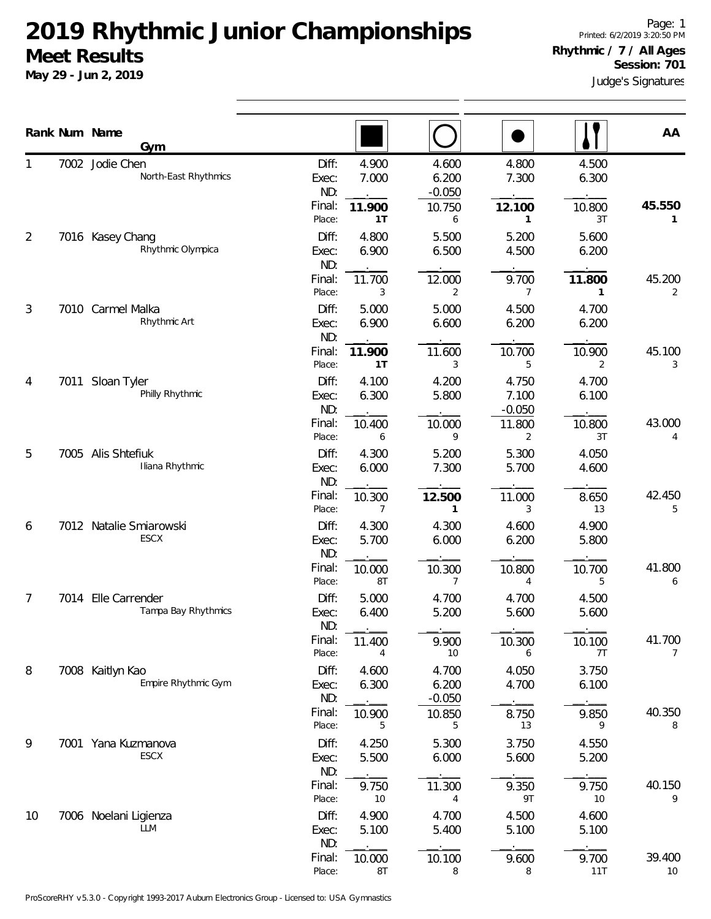**May 29 - Jun 2, 2019**

Judge's Signatures **Session: 701**

|                |      | Rank Num Name<br>Gym                    |                                           |                                |                                      |                                           |                                | AA                       |
|----------------|------|-----------------------------------------|-------------------------------------------|--------------------------------|--------------------------------------|-------------------------------------------|--------------------------------|--------------------------|
|                |      | 7002 Jodie Chen<br>North-East Rhythmics | Diff:<br>Exec:<br>ND:<br>Final:           | 4.900<br>7.000<br>11.900       | 4.600<br>6.200<br>$-0.050$<br>10.750 | 4.800<br>7.300<br>12.100                  | 4.500<br>6.300<br>10.800       | 45.550                   |
| $\overline{2}$ |      | 7016 Kasey Chang<br>Rhythmic Olympica   | Place:<br>Diff:<br>Exec:<br>ND:<br>Final: | 1T<br>4.800<br>6.900<br>11.700 | 6<br>5.500<br>6.500<br>12.000        | 1<br>5.200<br>4.500<br>9.700              | 3T<br>5.600<br>6.200<br>11.800 | 1<br>45.200              |
| 3              | 7010 | Carmel Malka<br>Rhythmic Art            | Place:<br>Diff:<br>Exec:<br>ND:           | 3<br>5.000<br>6.900            | 2<br>5.000<br>6.600                  | $\overline{7}$<br>4.500<br>6.200          | 1<br>4.700<br>6.200            | 2                        |
| 4              | 7011 | Sloan Tyler<br>Philly Rhythmic          | Final:<br>Place:<br>Diff:<br>Exec:<br>ND: | 11.900<br>1T<br>4.100<br>6.300 | 11.600<br>3<br>4.200<br>5.800        | 10.700<br>5<br>4.750<br>7.100<br>$-0.050$ | 10.900<br>2<br>4.700<br>6.100  | 45.100<br>3              |
| 5              |      | 7005 Alis Shtefiuk<br>Iliana Rhythmic   | Final:<br>Place:<br>Diff:<br>Exec:<br>ND: | 10.400<br>6<br>4.300<br>6.000  | 10.000<br>9<br>5.200<br>7.300        | 11.800<br>2<br>5.300<br>5.700             | 10.800<br>3T<br>4.050<br>4.600 | 43.000<br>4              |
| 6              |      | 7012 Natalie Smiarowski<br><b>ESCX</b>  | Final:<br>Place:<br>Diff:<br>Exec:<br>ND: | 10.300<br>7<br>4.300<br>5.700  | 12.500<br>1<br>4.300<br>6.000        | 11.000<br>3<br>4.600<br>6.200             | 8.650<br>13<br>4.900<br>5.800  | 42.450<br>5              |
| 7              | 7014 | Elle Carrender<br>Tampa Bay Rhythmics   | Final:<br>Place:<br>Diff:<br>Exec:        | 10.000<br>8T<br>5.000<br>6.400 | 10.300<br>7<br>4.700<br>5.200        | 10.800<br>4<br>4.700<br>5.600             | 10.700<br>5<br>4.500<br>5.600  | 41.800<br>6              |
| 8              |      | 7008 Kaitlyn Kao<br>Empire Rhythmic Gym | ND:<br>Final:<br>Place:<br>Diff:          | 11.400<br>4<br>4.600<br>6.300  | 9.900<br>10<br>4.700<br>6.200        | 10.300<br>6<br>4.050<br>4.700             | 10.100<br>7T<br>3.750<br>6.100 | 41.700<br>$\overline{7}$ |
| 9              |      | 7001 Yana Kuzmanova                     | Exec:<br>ND:<br>Final:<br>Place:<br>Diff: | 10.900<br>5<br>4.250           | $-0.050$<br>10.850<br>5<br>5.300     | 8.750<br>13<br>3.750                      | 9.850<br>9<br>4.550            | 40.350<br>8              |
|                |      | ESCX                                    | Exec:<br>ND:<br>Final:<br>Place:          | 5.500<br>9.750<br>10           | 6.000<br>11.300<br>4                 | 5.600<br>9.350<br>9T                      | 5.200<br>9.750<br>10           | 40.150<br>9              |
| 10             |      | 7006 Noelani Ligienza<br><b>LLM</b>     | Diff:<br>Exec:<br>ND:<br>Final:           | 4.900<br>5.100<br>10.000       | 4.700<br>5.400<br>10.100             | 4.500<br>5.100<br>9.600                   | 4.600<br>5.100<br>9.700        | 39.400                   |
|                |      |                                         | Place:                                    | 8T                             | 8                                    | 8                                         | 11T                            | 10                       |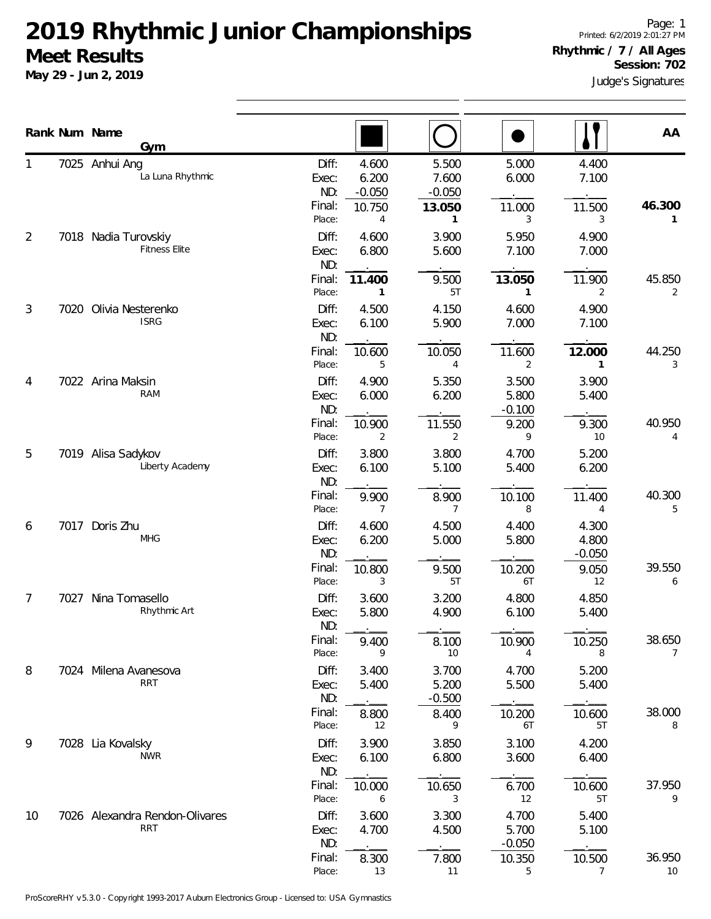**May 29 - Jun 2, 2019**

Page: 1 Printed: 6/2/2019 2:01:27 PM **Rhythmic / 7 / All Ages Session: 702**

|    |      | Rank Num Name<br>Gym                         |                                                                                        |                                           |                                           |                                  | AA           |
|----|------|----------------------------------------------|----------------------------------------------------------------------------------------|-------------------------------------------|-------------------------------------------|----------------------------------|--------------|
|    |      | 7025 Anhui Ang<br>La Luna Rhythmic           | Diff:<br>4.600<br>6.200<br>Exec:<br>ND:<br>$-0.050$<br>Final:<br>10.750<br>Place:<br>4 | 5.500<br>7.600<br>$-0.050$<br>13.050<br>1 | 5.000<br>6.000<br>11.000<br>3             | 4.400<br>7.100<br>11.500<br>3    | 46.300<br>1  |
| 2  |      | 7018 Nadia Turovskiy<br><b>Fitness Elite</b> | Diff:<br>4.600<br>6.800<br>Exec:<br>ND:<br>Final:<br>11.400                            | 3.900<br>5.600<br>9.500                   | 5.950<br>7.100<br>13.050                  | 4.900<br>7.000<br>11.900         | 45.850       |
| 3  | 7020 | Olivia Nesterenko<br><b>ISRG</b>             | Place:<br>1<br>Diff:<br>4.500<br>6.100<br>Exec:<br>ND:                                 | 5T<br>4.150<br>5.900                      | 1<br>4.600<br>7.000                       | 2<br>4.900<br>7.100              | 2            |
| 4  |      | 7022 Arina Maksin<br>RAM                     | Final:<br>10.600<br>Place:<br>5<br>Diff:<br>4.900<br>6.000<br>Exec:                    | 10.050<br>4<br>5.350<br>6.200             | 11.600<br>2<br>3.500<br>5.800             | 12.000<br>1<br>3.900<br>5.400    | 44.250<br>3  |
| 5  |      | 7019 Alisa Sadykov<br>Liberty Academy        | ND:<br>Final:<br>10.900<br>Place:<br>2<br>Diff:<br>3.800<br>6.100<br>Exec:             | 11.550<br>2<br>3.800<br>5.100             | $-0.100$<br>9.200<br>9<br>4.700<br>5.400  | 9.300<br>10<br>5.200<br>6.200    | 40.950<br>4  |
| 6  |      | 7017 Doris Zhu                               | ND:<br>Final:<br>9.900<br>Place:<br>7<br>Diff:<br>4.600                                | 8.900<br>$\overline{7}$<br>4.500          | 10.100<br>8<br>4.400                      | 11.400<br>4<br>4.300             | 40.300<br>5  |
|    |      | <b>MHG</b>                                   | 6.200<br>Exec:<br>ND:<br>Final:<br>10.800<br>Place:<br>3                               | 5.000<br>9.500<br>5T                      | 5.800<br>10.200<br>6T                     | 4.800<br>$-0.050$<br>9.050<br>12 | 39.550<br>6  |
| 7  | 7027 | Nina Tomasello<br>Rhythmic Art               | Diff:<br>3.600<br>5.800<br>Exec:<br>ND:<br>Final:<br>9.400                             | 3.200<br>4.900<br>8.100                   | 4.800<br>6.100<br>10.900                  | 4.850<br>5.400<br>10.250         | 38.650       |
| 8  |      | 7024 Milena Avanesova<br><b>RRT</b>          | Place:<br>9<br>Diff:<br>3.400<br>5.400<br>Exec:<br>ND:<br>Final:<br>8.800              | 10<br>3.700<br>5.200<br>$-0.500$<br>8.400 | 4<br>4.700<br>5.500<br>10.200             | 8<br>5.200<br>5.400<br>10.600    | 7<br>38.000  |
| 9  |      | 7028 Lia Kovalsky<br><b>NWR</b>              | Place:<br>12<br>3.900<br>Diff:<br>6.100<br>Exec:<br>ND:                                | 9<br>3.850<br>6.800                       | 6T<br>3.100<br>3.600                      | 5T<br>4.200<br>6.400             | 8            |
| 10 |      | 7026 Alexandra Rendon-Olivares<br><b>RRT</b> | Final:<br>10.000<br>Place:<br>6<br>Diff:<br>3.600<br>4.700<br>Exec:<br>ND:             | 10.650<br>3<br>3.300<br>4.500             | 6.700<br>12<br>4.700<br>5.700<br>$-0.050$ | 10.600<br>5T<br>5.400<br>5.100   | 37.950<br>9  |
|    |      |                                              | Final:<br>8.300<br>Place:<br>13                                                        | 7.800<br>11                               | 10.350<br>5                               | 10.500<br>7                      | 36.950<br>10 |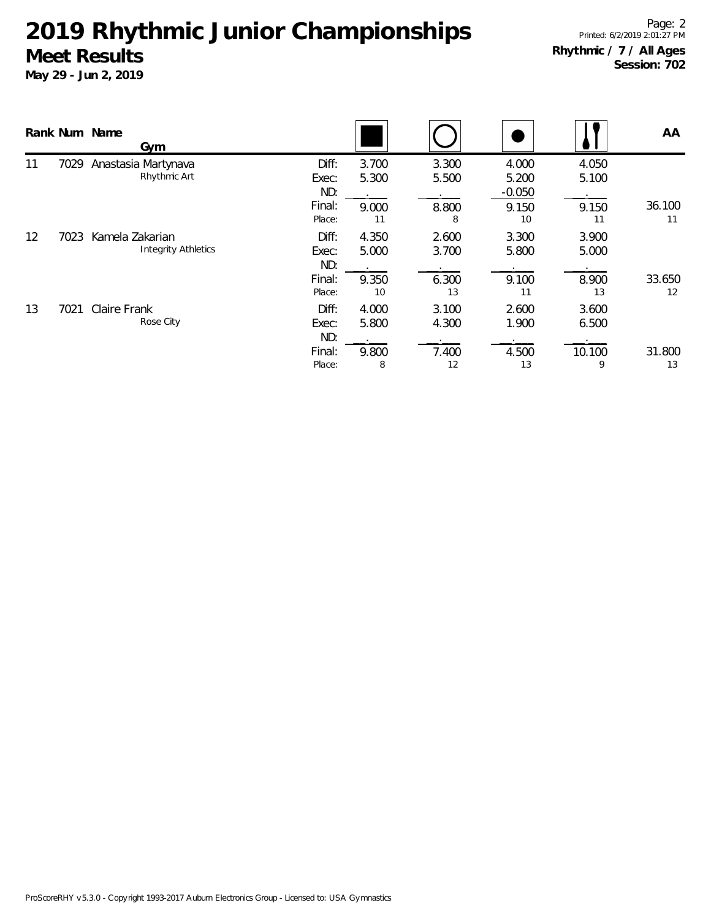|                   |      | Rank Num Name<br>Gym                          |                                           |                               |                               |                                           |                               | AA           |
|-------------------|------|-----------------------------------------------|-------------------------------------------|-------------------------------|-------------------------------|-------------------------------------------|-------------------------------|--------------|
| 11                | 7029 | Anastasia Martynava<br>Rhythmic Art           | Diff:<br>Exec:<br>ND:<br>Final:<br>Place: | 3.700<br>5.300<br>9.000<br>11 | 3.300<br>5.500<br>8.800<br>8  | 4.000<br>5.200<br>$-0.050$<br>9.150<br>10 | 4.050<br>5.100<br>9.150<br>11 | 36.100<br>11 |
| $12 \overline{ }$ | 7023 | Kamela Zakarian<br><b>Integrity Athletics</b> | Diff:<br>Exec:<br>ND:<br>Final:<br>Place: | 4.350<br>5.000<br>9.350<br>10 | 2.600<br>3.700<br>6.300<br>13 | 3.300<br>5.800<br>9.100<br>11             | 3.900<br>5.000<br>8.900<br>13 | 33.650<br>12 |
| 13                | 7021 | Claire Frank<br>Rose City                     | Diff:<br>Exec:<br>ND:<br>Final:<br>Place: | 4.000<br>5.800<br>9.800<br>8  | 3.100<br>4.300<br>7.400<br>12 | 2.600<br>1.900<br>4.500<br>13             | 3.600<br>6.500<br>10.100<br>9 | 31.800<br>13 |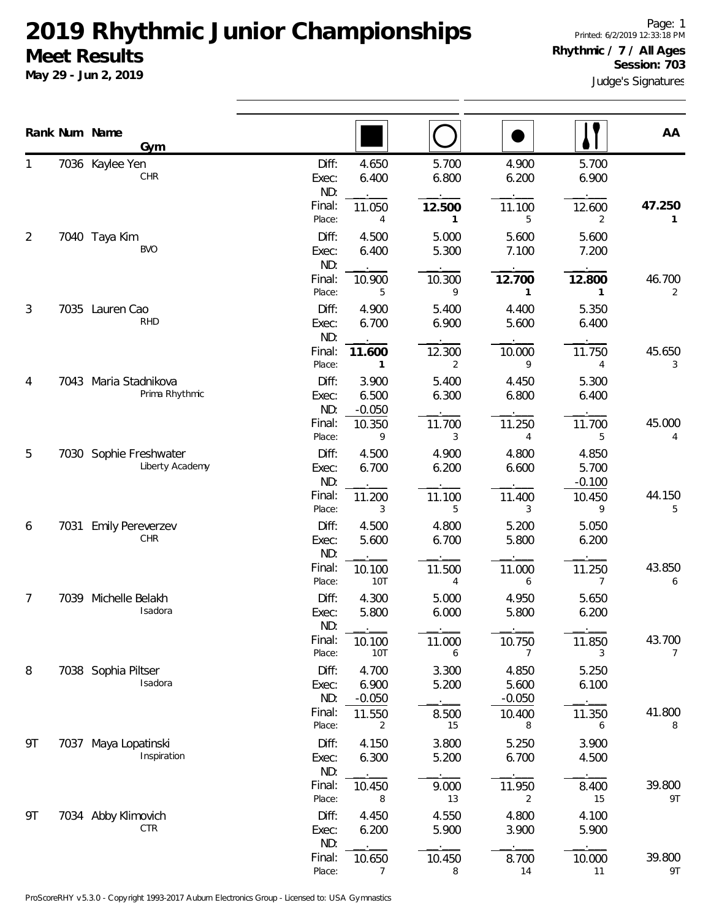**May 29 - Jun 2, 2019**

|    |      | Rank Num Name<br>Gym                      |                       |                            |                |                            |                            | AA                       |
|----|------|-------------------------------------------|-----------------------|----------------------------|----------------|----------------------------|----------------------------|--------------------------|
| 1  |      | 7036 Kaylee Yen<br>CHR                    | Diff:<br>Exec:<br>ND: | 4.650<br>6.400             | 5.700<br>6.800 | 4.900<br>6.200             | 5.700<br>6.900             |                          |
|    |      |                                           | Final:<br>Place:      | 11.050<br>4                | 12.500<br>1    | 11.100<br>5                | 12.600<br>2                | 47.250<br>1              |
| 2  |      | 7040 Taya Kim<br>BVO                      | Diff:<br>Exec:<br>ND: | 4.500<br>6.400             | 5.000<br>5.300 | 5.600<br>7.100             | 5.600<br>7.200             |                          |
|    |      |                                           | Final:<br>Place:      | 10.900<br>5                | 10.300<br>9    | 12.700<br>1                | 12.800<br>1                | 46.700<br>2              |
| 3  |      | 7035 Lauren Cao<br><b>RHD</b>             | Diff:<br>Exec:<br>ND: | 4.900<br>6.700             | 5.400<br>6.900 | 4.400<br>5.600             | 5.350<br>6.400             |                          |
|    |      |                                           | Final:<br>Place:      | 11.600<br>$\mathbf{1}$     | 12.300<br>2    | 10.000<br>9                | 11.750<br>4                | 45.650<br>3              |
| 4  | 7043 | Maria Stadnikova<br>Prima Rhythmic        | Diff:<br>Exec:<br>ND: | 3.900<br>6.500<br>$-0.050$ | 5.400<br>6.300 | 4.450<br>6.800             | 5.300<br>6.400             |                          |
|    |      |                                           | Final:<br>Place:      | 10.350<br>9                | 11.700<br>3    | 11.250<br>$\overline{4}$   | 11.700<br>5                | 45.000<br>4              |
| 5  |      | 7030 Sophie Freshwater<br>Liberty Academy | Diff:<br>Exec:<br>ND: | 4.500<br>6.700             | 4.900<br>6.200 | 4.800<br>6.600             | 4.850<br>5.700<br>$-0.100$ |                          |
|    |      |                                           | Final:<br>Place:      | 11.200<br>3                | 11.100<br>5    | 11.400<br>3                | 10.450<br>9                | 44.150<br>5              |
| 6  | 7031 | <b>Emily Pereverzev</b><br>CHR            | Diff:<br>Exec:<br>ND: | 4.500<br>5.600             | 4.800<br>6.700 | 5.200<br>5.800             | 5.050<br>6.200             |                          |
|    |      |                                           | Final:<br>Place:      | 10.100<br><b>10T</b>       | 11.500<br>4    | 11.000<br>6                | 11.250<br>7                | 43.850<br>6              |
| 7  |      | 7039 Michelle Belakh<br>Isadora           | Diff:<br>Exec:<br>ND: | 4.300<br>5.800             | 5.000<br>6.000 | 4.950<br>5.800             | 5.650<br>6.200             |                          |
|    |      |                                           | Final:<br>Place:      | 10.100<br>10T              | 11.000<br>6    | 10.750<br>7                | 11.850<br>3                | 43.700<br>$\overline{7}$ |
| 8  |      | 7038 Sophia Piltser<br>Isadora            | Diff:<br>Exec:<br>ND: | 4.700<br>6.900<br>$-0.050$ | 3.300<br>5.200 | 4.850<br>5.600<br>$-0.050$ | 5.250<br>6.100             |                          |
|    |      |                                           | Final:<br>Place:      | 11.550<br>2                | 8.500<br>15    | 10.400<br>8                | 11.350<br>6                | 41.800<br>8              |
| 9T |      | 7037 Maya Lopatinski<br>Inspiration       | Diff:<br>Exec:<br>ND: | 4.150<br>6.300             | 3.800<br>5.200 | 5.250<br>6.700             | 3.900<br>4.500             |                          |
|    |      |                                           | Final:<br>Place:      | 10.450<br>8                | 9.000<br>13    | 11.950<br>2                | 8.400<br>15                | 39.800<br>9T             |
| 9T |      | 7034 Abby Klimovich<br><b>CTR</b>         | Diff:<br>Exec:<br>ND: | 4.450<br>6.200             | 4.550<br>5.900 | 4.800<br>3.900             | 4.100<br>5.900             |                          |
|    |      |                                           | Final:<br>Place:      | 10.650<br>7                | 10.450<br>8    | 8.700<br>14                | 10.000<br>11               | 39.800<br>9T             |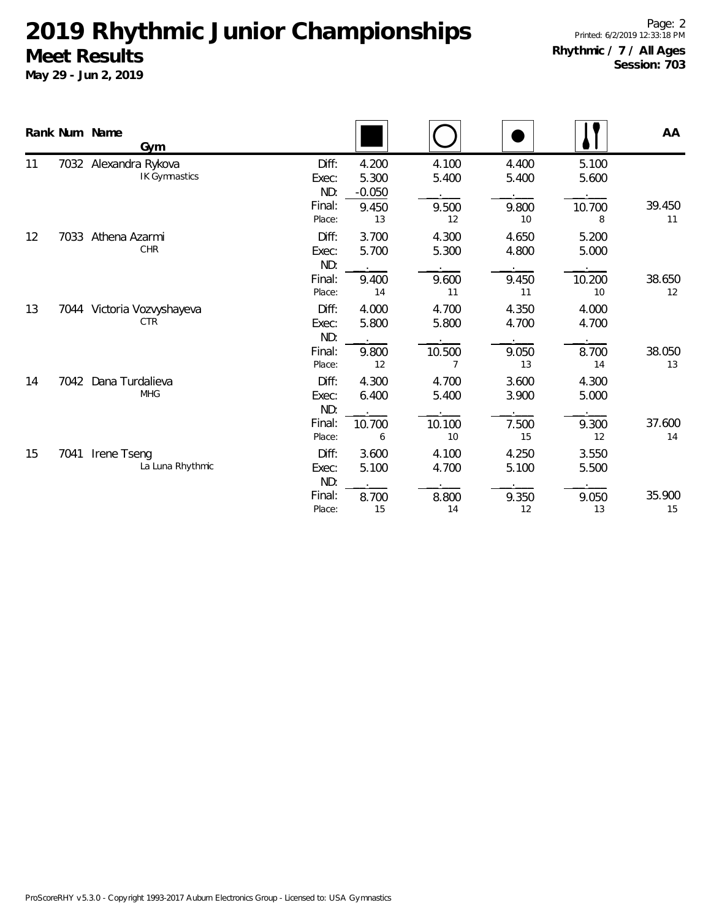|    |      | Rank Num Name<br>Gym                          |                       |                            |                |                |                | AA           |
|----|------|-----------------------------------------------|-----------------------|----------------------------|----------------|----------------|----------------|--------------|
| 11 |      | 7032 Alexandra Rykova<br><b>IK Gymnastics</b> | Diff:<br>Exec:<br>ND: | 4.200<br>5.300<br>$-0.050$ | 4.100<br>5.400 | 4.400<br>5.400 | 5.100<br>5.600 |              |
|    |      |                                               | Final:<br>Place:      | 9.450<br>13                | 9.500<br>12    | 9.800<br>10    | 10.700<br>8    | 39.450<br>11 |
| 12 | 7033 | Athena Azarmi<br><b>CHR</b>                   | Diff:<br>Exec:<br>ND: | 3.700<br>5.700             | 4.300<br>5.300 | 4.650<br>4.800 | 5.200<br>5.000 |              |
|    |      |                                               | Final:<br>Place:      | 9.400<br>14                | 9.600<br>11    | 9.450<br>11    | 10.200<br>10   | 38.650<br>12 |
| 13 |      | 7044 Victoria Vozvyshayeva<br><b>CTR</b>      | Diff:<br>Exec:<br>ND: | 4.000<br>5.800             | 4.700<br>5.800 | 4.350<br>4.700 | 4.000<br>4.700 |              |
|    |      |                                               | Final:<br>Place:      | 9.800<br>12                | 10.500<br>7    | 9.050<br>13    | 8.700<br>14    | 38.050<br>13 |
| 14 | 7042 | Dana Turdalieva<br><b>MHG</b>                 | Diff:<br>Exec:<br>ND: | 4.300<br>6.400             | 4.700<br>5.400 | 3.600<br>3.900 | 4.300<br>5.000 |              |
|    |      |                                               | Final:<br>Place:      | 10.700<br>6                | 10.100<br>10   | 7.500<br>15    | 9.300<br>12    | 37.600<br>14 |
| 15 | 7041 | Irene Tseng<br>La Luna Rhythmic               | Diff:<br>Exec:<br>ND: | 3.600<br>5.100             | 4.100<br>4.700 | 4.250<br>5.100 | 3.550<br>5.500 |              |
|    |      |                                               | Final:<br>Place:      | 8.700<br>15                | 8.800<br>14    | 9.350<br>12    | 9.050<br>13    | 35.900<br>15 |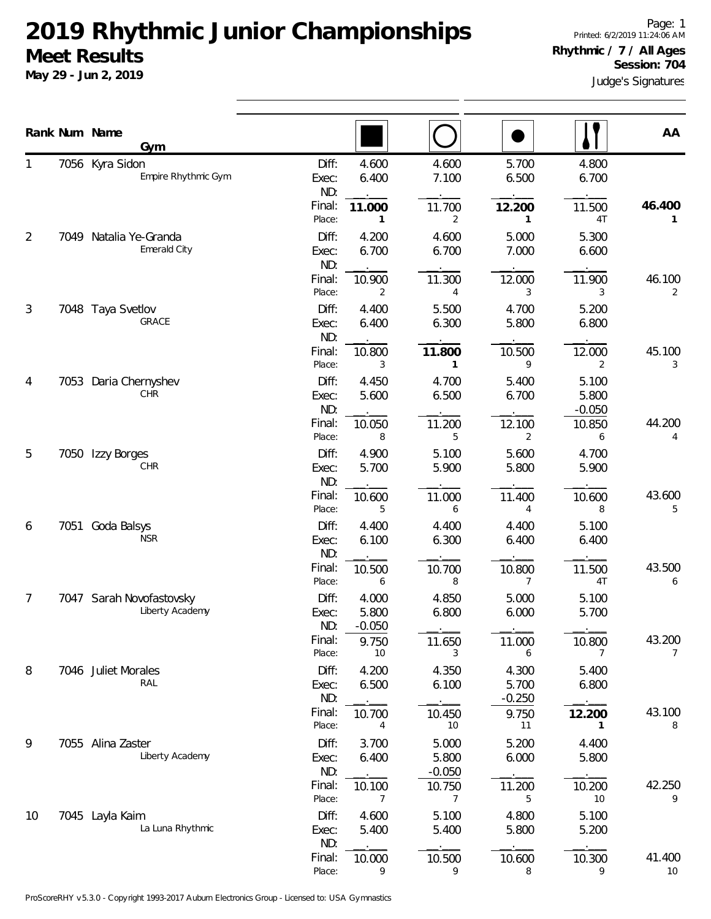**May 29 - Jun 2, 2019**

Page: 1 Printed: 6/2/2019 11:24:06 AM **Rhythmic / 7 / All Ages Session: 704**

|                |      | Rank Num Name<br>Gym                        |                       |                            |                            |                            |                            | AA           |
|----------------|------|---------------------------------------------|-----------------------|----------------------------|----------------------------|----------------------------|----------------------------|--------------|
| 1              |      | 7056 Kyra Sidon<br>Empire Rhythmic Gym      | Diff:<br>Exec:<br>ND: | 4.600<br>6.400             | 4.600<br>7.100             | 5.700<br>6.500             | 4.800<br>6.700             |              |
|                |      |                                             | Final:<br>Place:      | 11.000<br>1                | 11.700<br>2                | 12.200<br>1                | 11.500<br>4T               | 46.400<br>1  |
| $\overline{2}$ |      | 7049 Natalia Ye-Granda<br>Emerald City      | Diff:<br>Exec:<br>ND: | 4.200<br>6.700             | 4.600<br>6.700             | 5.000<br>7.000             | 5.300<br>6.600             |              |
|                |      |                                             | Final:<br>Place:      | 10.900<br>2                | 11.300<br>4                | 12.000<br>3                | 11.900<br>3                | 46.100<br>2  |
| 3              |      | 7048 Taya Svetlov<br>GRACE                  | Diff:<br>Exec:<br>ND: | 4.400<br>6.400             | 5.500<br>6.300             | 4.700<br>5.800             | 5.200<br>6.800             |              |
|                |      |                                             | Final:<br>Place:      | 10.800<br>3                | 11.800<br>$\mathbf{1}$     | 10.500<br>9                | 12.000<br>2                | 45.100<br>3  |
| 4              | 7053 | Daria Chernyshev<br>CHR                     | Diff:<br>Exec:<br>ND: | 4.450<br>5.600             | 4.700<br>6.500             | 5.400<br>6.700             | 5.100<br>5.800<br>$-0.050$ |              |
|                |      |                                             | Final:<br>Place:      | 10.050<br>8                | 11.200<br>5                | 12.100<br>2                | 10.850<br>6                | 44.200<br>4  |
| 5              | 7050 | Izzy Borges<br>CHR                          | Diff:<br>Exec:<br>ND: | 4.900<br>5.700             | 5.100<br>5.900             | 5.600<br>5.800             | 4.700<br>5.900             |              |
|                |      |                                             | Final:<br>Place:      | 10.600<br>5                | 11.000<br>6                | 11.400<br>4                | 10.600<br>8                | 43.600<br>5  |
| 6              |      | 7051 Goda Balsys<br><b>NSR</b>              | Diff:<br>Exec:<br>ND: | 4.400<br>6.100             | 4.400<br>6.300             | 4.400<br>6.400             | 5.100<br>6.400             |              |
|                |      |                                             | Final:<br>Place:      | 10.500<br>6                | 10.700<br>8                | 10.800<br>7                | 11.500<br>4T               | 43.500<br>6  |
| 7              |      | 7047 Sarah Novofastovsky<br>Liberty Academy | Diff:<br>Exec:<br>ND: | 4.000<br>5.800<br>$-0.050$ | 4.850<br>6.800             | 5.000<br>6.000             | 5.100<br>5.700             |              |
|                |      |                                             | Final:<br>Place:      | 9.750<br>10                | 11.650<br>3                | 11.000<br>6                | 10.800<br>7                | 43.200<br>7  |
| 8              |      | 7046 Juliet Morales<br>RAL                  | Diff:<br>Exec:<br>ND: | 4.200<br>6.500             | 4.350<br>6.100             | 4.300<br>5.700<br>$-0.250$ | 5.400<br>6.800             |              |
|                |      |                                             | Final:<br>Place:      | 10.700<br>4                | 10.450<br>10               | 9.750<br>11                | 12.200<br>1                | 43.100<br>8  |
| 9              |      | 7055 Alina Zaster<br>Liberty Academy        | Diff:<br>Exec:<br>ND: | 3.700<br>6.400             | 5.000<br>5.800<br>$-0.050$ | 5.200<br>6.000             | 4.400<br>5.800             |              |
|                |      |                                             | Final:<br>Place:      | 10.100<br>7                | 10.750<br>7                | 11.200<br>5                | 10.200<br>10               | 42.250<br>9  |
| 10             |      | 7045 Layla Kaim<br>La Luna Rhythmic         | Diff:<br>Exec:<br>ND: | 4.600<br>5.400             | 5.100<br>5.400             | 4.800<br>5.800             | 5.100<br>5.200             |              |
|                |      |                                             | Final:<br>Place:      | 10.000<br>9                | 10.500<br>9                | 10.600<br>8                | 10.300<br>9                | 41.400<br>10 |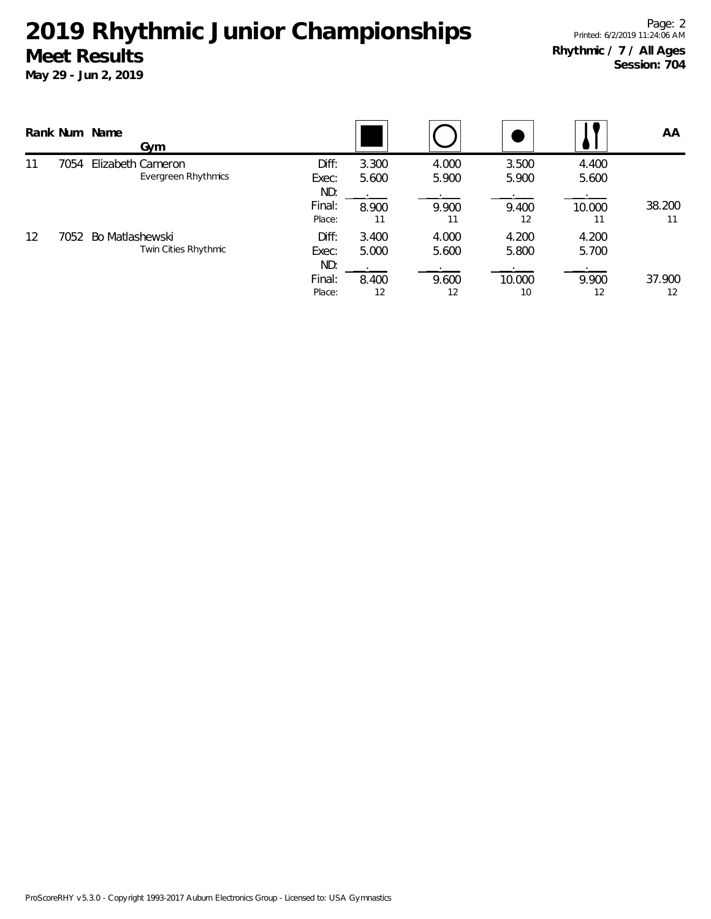|    |      | Rank Num Name<br>Gym                            |                       |                |                |                |                | AA           |
|----|------|-------------------------------------------------|-----------------------|----------------|----------------|----------------|----------------|--------------|
| 11 | 7054 | Elizabeth Cameron<br><b>Evergreen Rhythmics</b> | Diff:<br>Exec:<br>ND: | 3.300<br>5.600 | 4.000<br>5.900 | 3.500<br>5.900 | 4.400<br>5.600 |              |
|    |      |                                                 | Final:<br>Place:      | 8.900<br>11    | 9.900<br>11    | 9.400<br>12    | 10.000         | 38.200<br>11 |
| 12 | 7052 | Bo Matlashewski<br>Twin Cities Rhythmic         | Diff:<br>Exec:<br>ND: | 3.400<br>5.000 | 4.000<br>5.600 | 4.200<br>5.800 | 4.200<br>5.700 |              |
|    |      |                                                 | Final:<br>Place:      | 8.400<br>12    | 9.600<br>12    | 10.000<br>10   | 9.900<br>12    | 37.900<br>12 |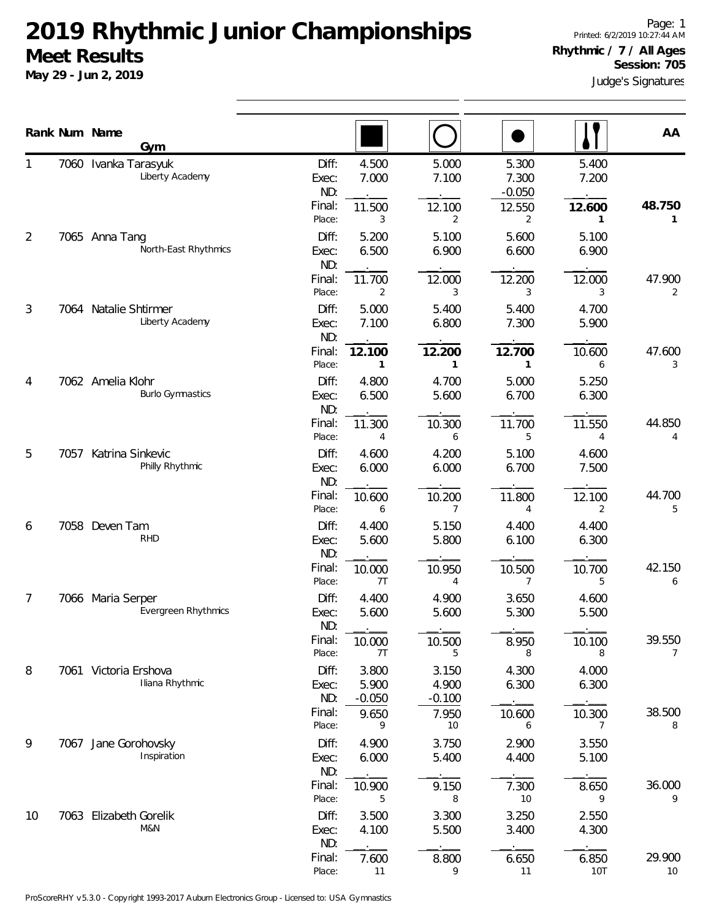**May 29 - Jun 2, 2019**

|    |      | Rank Num Name<br>Gym                         |                                                     |                                                |                                                |                                           |                                    | AA                            |
|----|------|----------------------------------------------|-----------------------------------------------------|------------------------------------------------|------------------------------------------------|-------------------------------------------|------------------------------------|-------------------------------|
| 1  |      | 7060 Ivanka Tarasyuk<br>Liberty Academy      | Diff:<br>Exec:<br>ND:<br>Final:<br>Place:           | 4.500<br>7.000<br>11.500<br>3                  | 5.000<br>7.100<br>12.100<br>2                  | 5.300<br>7.300<br>$-0.050$<br>12.550<br>2 | 5.400<br>7.200<br>12.600<br>1      | 48.750<br>1                   |
| 2  |      | 7065 Anna Tang<br>North-East Rhythmics       | Diff:<br>Exec:<br>ND:<br>Final:                     | 5.200<br>6.500<br>11.700                       | 5.100<br>6.900<br>12.000                       | 5.600<br>6.600<br>12.200                  | 5.100<br>6.900<br>12.000           | 47.900                        |
| 3  |      | 7064 Natalie Shtirmer<br>Liberty Academy     | Place:<br>Diff:<br>Exec:<br>ND:                     | 2<br>5.000<br>7.100                            | 3<br>5.400<br>6.800                            | 3<br>5.400<br>7.300                       | 3<br>4.700<br>5.900                | 2                             |
| 4  |      | 7062 Amelia Klohr<br><b>Burlo Gymnastics</b> | Final:<br>Place:<br>Diff:<br>Exec:<br>ND:           | 12.100<br>1<br>4.800<br>6.500                  | 12.200<br>$\mathbf{1}$<br>4.700<br>5.600       | 12.700<br>$\mathbf{1}$<br>5.000<br>6.700  | 10.600<br>6<br>5.250<br>6.300      | 47.600<br>3                   |
| 5  | 7057 | Katrina Sinkevic<br>Philly Rhythmic          | Final:<br>Place:<br>Diff:<br>Exec:                  | 11.300<br>4<br>4.600<br>6.000                  | 10.300<br>6<br>4.200<br>6.000                  | 11.700<br>5<br>5.100<br>6.700             | 11.550<br>4<br>4.600<br>7.500      | 44.850<br>4                   |
| 6  |      | 7058 Deven Tam                               | ND:<br>Final:<br>Place:<br>Diff:                    | 10.600<br>6<br>4.400                           | 10.200<br>7<br>5.150                           | 11.800<br>4<br>4.400                      | 12.100<br>2<br>4.400               | 44.700<br>5                   |
|    |      | <b>RHD</b>                                   | Exec:<br>ND:<br>Final:<br>Place:                    | 5.600<br>10.000<br>7T                          | 5.800<br>10.950<br>4                           | 6.100<br>10.500<br>7                      | 6.300<br>10.700<br>5               | 42.150<br>6                   |
| 7  |      | 7066 Maria Serper<br>Evergreen Rhythmics     | Diff:<br>Exec:<br>ND:<br>Final:                     | 4.400<br>5.600<br>10.000                       | 4.900<br>5.600<br>10.500                       | 3.650<br>5.300<br>8.950                   | 4.600<br>5.500<br>10.100           | 39.550                        |
| 8  |      | 7061 Victoria Ershova<br>Iliana Rhythmic     | Place:<br>Diff:<br>Exec:<br>ND:<br>Final:<br>Place: | 7T<br>3.800<br>5.900<br>$-0.050$<br>9.650<br>9 | 5<br>3.150<br>4.900<br>$-0.100$<br>7.950<br>10 | 8<br>4.300<br>6.300<br>10.600<br>6        | 8<br>4.000<br>6.300<br>10.300<br>7 | $\overline{7}$<br>38.500<br>8 |
| 9  |      | 7067 Jane Gorohovsky<br>Inspiration          | Diff:<br>Exec:<br>ND:<br>Final:                     | 4.900<br>6.000<br>10.900                       | 3.750<br>5.400<br>9.150                        | 2.900<br>4.400<br>7.300                   | 3.550<br>5.100<br>8.650            | 36.000                        |
| 10 |      | 7063 Elizabeth Gorelik<br>M&N                | Place:<br>Diff:<br>Exec:<br>ND:                     | 5<br>3.500<br>4.100                            | 8<br>3.300<br>5.500                            | 10<br>3.250<br>3.400                      | 9<br>2.550<br>4.300                | 9                             |
|    |      |                                              | Final:<br>Place:                                    | 7.600<br>11                                    | 8.800<br>9                                     | 6.650<br>11                               | 6.850<br>10T                       | 29.900<br>10                  |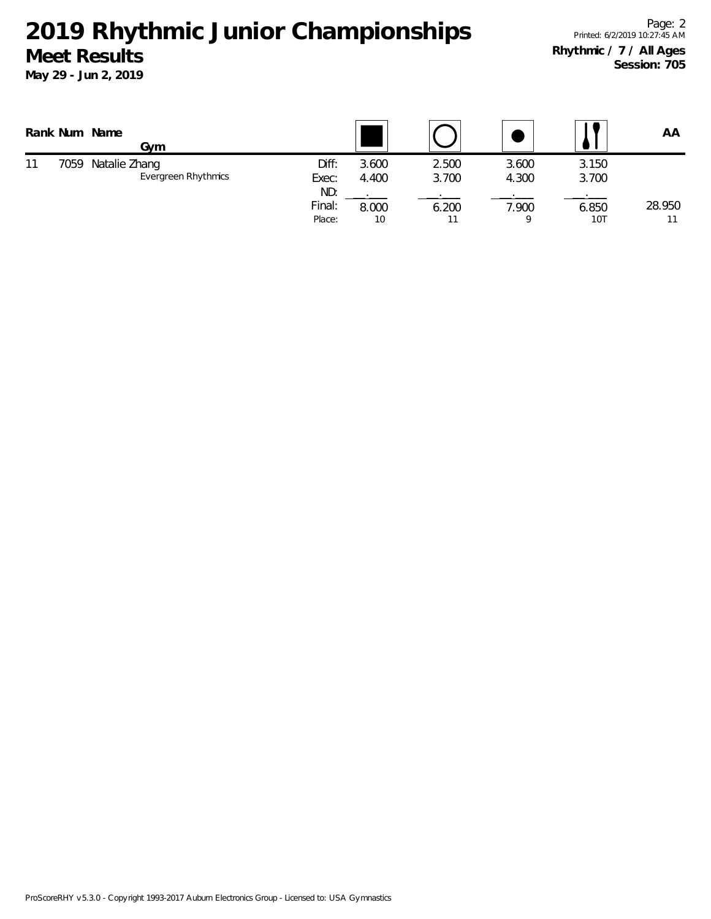|    |      | Rank Num Name<br>Gvm                 |                         |                |                |                |                | ΑA     |
|----|------|--------------------------------------|-------------------------|----------------|----------------|----------------|----------------|--------|
| 11 | 7059 | Natalie Zhang<br>Evergreen Rhythmics | Diff:<br>Exec:          | 3.600<br>4.400 | 2.500<br>3.700 | 3.600<br>4.300 | 3.150<br>3.700 |        |
|    |      |                                      | ND:<br>Final:<br>Place: | 8.000<br>10    | 6.200          | 7.900          | 6.850<br>10T   | 28.950 |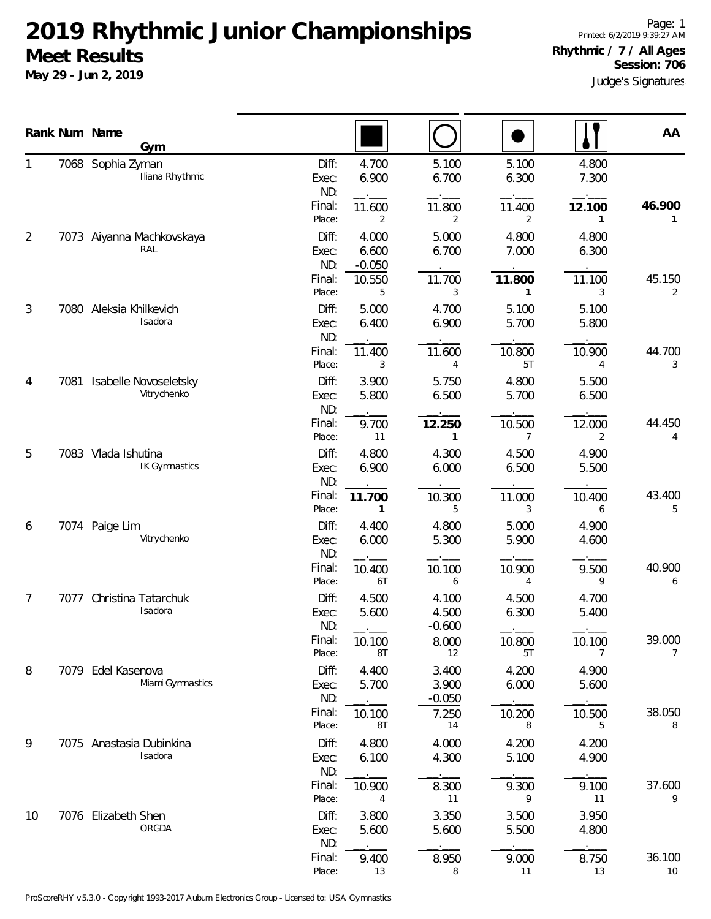|                |      | Rank Num Name<br>Gym                 |                                               |                                              |                          |                | AA                        |
|----------------|------|--------------------------------------|-----------------------------------------------|----------------------------------------------|--------------------------|----------------|---------------------------|
|                |      | 7068 Sophia Zyman<br>Iliana Rhythmic | Diff:<br>Exec:<br>ND:                         | 4.700<br>5.100<br>6.900<br>6.700             | 5.100<br>6.300           | 4.800<br>7.300 |                           |
|                |      |                                      | Final:<br>11.600<br>Place:                    | 11.800<br>2<br>2                             | 11.400<br>2              | 12.100<br>1    | 46.900<br>1               |
| $\overline{2}$ |      | 7073 Aiyanna Machkovskaya<br>RAL     | Diff:<br>Exec:                                | 4.000<br>5.000<br>6.600<br>6.700             | 4.800<br>7.000           | 4.800<br>6.300 |                           |
|                |      |                                      | ND:<br>$-0.050$<br>Final:<br>10.550<br>Place: | 11.700<br>5<br>3                             | 11.800<br>1              | 11.100<br>3    | 45.150<br>$\overline{2}$  |
| 3              | 7080 | Aleksia Khilkevich<br>Isadora        | Diff:<br>Exec:<br>ND:                         | 5.000<br>4.700<br>6.400<br>6.900             | 5.100<br>5.700           | 5.100<br>5.800 |                           |
|                |      |                                      | Final:<br>11.400<br>Place:                    | 11.600<br>3<br>4                             | 10.800<br>5T             | 10.900<br>4    | 44.700<br>3               |
| 4              | 7081 | Isabelle Novoseletsky<br>Vitrychenko | Diff:<br>Exec:<br>ND:                         | 3.900<br>5.750<br>5.800<br>6.500             | 4.800<br>5.700           | 5.500<br>6.500 |                           |
|                |      |                                      | Final:<br>Place:                              | 12.250<br>9.700<br>11<br>1                   | 10.500<br>$\overline{7}$ | 12.000<br>2    | 44.450<br>4               |
| 5              |      | 7083 Vlada Ishutina<br>IK Gymnastics | Diff:<br>Exec:<br>ND:                         | 4.800<br>4.300<br>6.900<br>6.000             | 4.500<br>6.500           | 4.900<br>5.500 |                           |
|                |      |                                      | Final:<br>11.700<br>Place:                    | 10.300<br>5<br>1                             | 11.000<br>3              | 10.400<br>6    | 43.400<br>5               |
| 6              |      | 7074 Paige Lim<br>Vitrychenko        | Diff:<br>Exec:<br>ND:                         | 4.400<br>4.800<br>5.300<br>6.000             | 5.000<br>5.900           | 4.900<br>4.600 |                           |
|                |      |                                      | Final:<br>10.400<br>Place:                    | 10.100<br>6T<br>6                            | 10.900<br>4              | 9.500<br>9     | 40.900<br>6               |
| 7              |      | 7077 Christina Tatarchuk<br>Isadora  | Diff:<br>Exec:<br>ND:                         | 4.500<br>4.100<br>5.600<br>4.500<br>$-0.600$ | 4.500<br>6.300           | 4.700<br>5.400 |                           |
|                |      |                                      | Final:<br>10.100<br>Place:                    | 8.000<br>8T<br>12                            | 10.800<br>5T             | 10.100<br>7    | 39.000<br>$7\overline{ }$ |
| 8              | 7079 | Edel Kasenova<br>Miami Gymnastics    | Diff:<br>Exec:<br>ND:                         | 4.400<br>3.400<br>5.700<br>3.900<br>$-0.050$ | 4.200<br>6.000           | 4.900<br>5.600 |                           |
|                |      |                                      | Final:<br>10.100<br>Place:                    | 7.250<br>8T<br>14                            | 10.200<br>8              | 10.500<br>5    | 38.050<br>8               |
| 9              |      | 7075 Anastasia Dubinkina<br>Isadora  | Diff:<br>Exec:<br>ND:                         | 4.800<br>4.000<br>6.100<br>4.300             | 4.200<br>5.100           | 4.200<br>4.900 |                           |
|                |      |                                      | Final:<br>10.900<br>Place:                    | 8.300<br>11<br>4                             | 9.300<br>9               | 9.100<br>11    | 37.600<br>9               |
| 10             | 7076 | Elizabeth Shen<br>ORGDA              | Diff:<br>Exec:<br>ND:                         | 3.800<br>3.350<br>5.600<br>5.600             | 3.500<br>5.500           | 3.950<br>4.800 |                           |
|                |      |                                      | Final:<br>Place:                              | 8.950<br>9.400<br>13<br>8                    | 9.000<br>11              | 8.750<br>13    | 36.100<br>10              |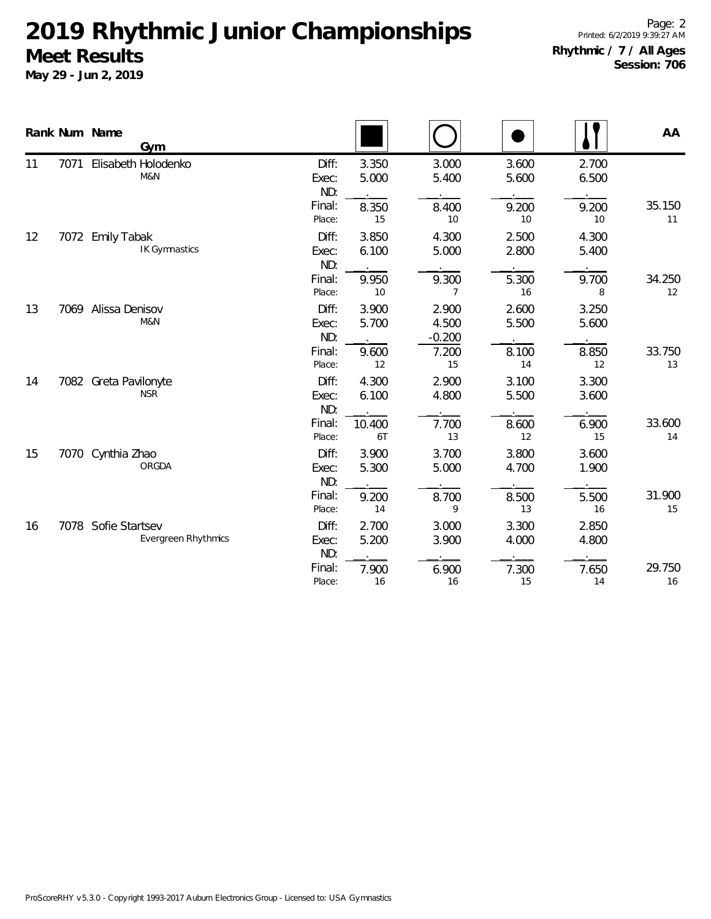|    |      | Rank Num Name<br>Gym                |                            |                       |                |                            |                |                | AA           |
|----|------|-------------------------------------|----------------------------|-----------------------|----------------|----------------------------|----------------|----------------|--------------|
| 11 | 7071 | Elisabeth Holodenko<br>M&N          |                            | Diff:<br>Exec:<br>ND: | 3.350<br>5.000 | 3.000<br>5.400             | 3.600<br>5.600 | 2.700<br>6.500 |              |
|    |      |                                     |                            | Final:<br>Place:      | 8.350<br>15    | 8.400<br>10                | 9.200<br>10    | 9.200<br>10    | 35.150<br>11 |
| 12 | 7072 | <b>Emily Tabak</b><br>IK Gymnastics |                            | Diff:<br>Exec:<br>ND: | 3.850<br>6.100 | 4.300<br>5.000             | 2.500<br>2.800 | 4.300<br>5.400 |              |
|    |      |                                     |                            | Final:<br>Place:      | 9.950<br>$10$  | 9.300<br>$\overline{7}$    | 5.300<br>16    | 9.700<br>8     | 34.250<br>12 |
| 13 | 7069 | Alissa Denisov<br>M&N               |                            | Diff:<br>Exec:<br>ND: | 3.900<br>5.700 | 2.900<br>4.500<br>$-0.200$ | 2.600<br>5.500 | 3.250<br>5.600 |              |
|    |      |                                     |                            | Final:<br>Place:      | 9.600<br>12    | 7.200<br>15                | 8.100<br>14    | 8.850<br>12    | 33.750<br>13 |
| 14 | 7082 | Greta Pavilonyte<br><b>NSR</b>      |                            | Diff:<br>Exec:<br>ND: | 4.300<br>6.100 | 2.900<br>4.800             | 3.100<br>5.500 | 3.300<br>3.600 |              |
|    |      |                                     |                            | Final:<br>Place:      | 10.400<br>6T   | 7.700<br>13                | 8.600<br>12    | 6.900<br>15    | 33.600<br>14 |
| 15 |      | 7070 Cynthia Zhao<br>ORGDA          |                            | Diff:<br>Exec:<br>ND: | 3.900<br>5.300 | 3.700<br>5.000             | 3.800<br>4.700 | 3.600<br>1.900 |              |
|    |      |                                     |                            | Final:<br>Place:      | 9.200<br>14    | 8.700<br>9                 | 8.500<br>13    | 5.500<br>16    | 31.900<br>15 |
| 16 |      | 7078 Sofie Startsev                 | <b>Evergreen Rhythmics</b> | Diff:<br>Exec:<br>ND: | 2.700<br>5.200 | 3.000<br>3.900             | 3.300<br>4.000 | 2.850<br>4.800 |              |
|    |      |                                     |                            | Final:<br>Place:      | 7.900<br>16    | 6.900<br>16                | 7.300<br>15    | 7.650<br>14    | 29.750<br>16 |